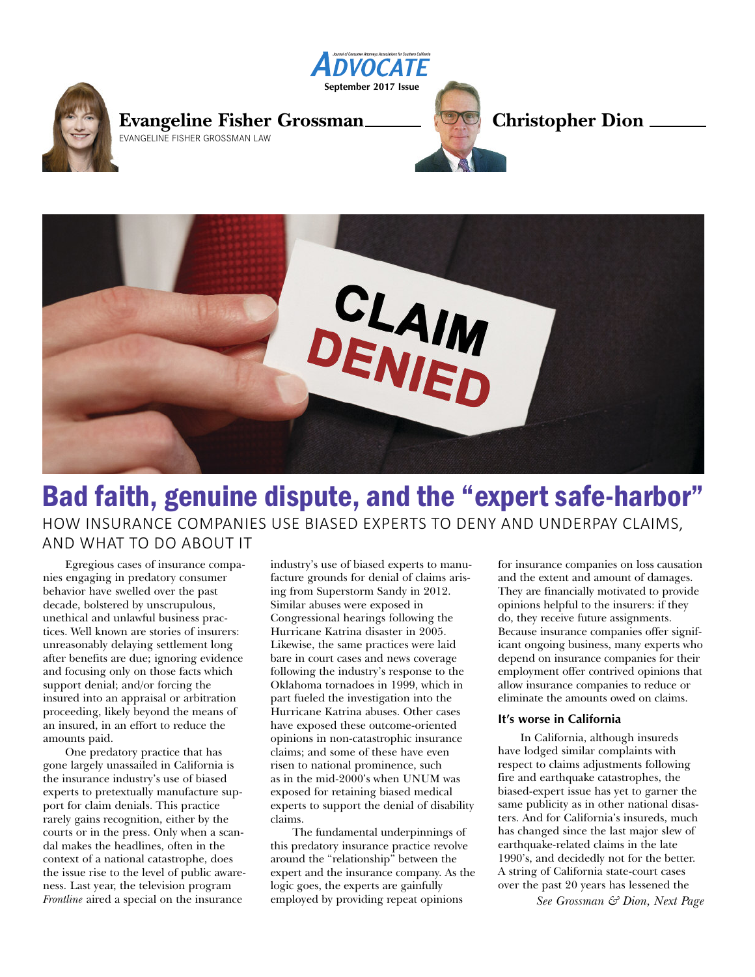



# Bad faith, genuine dispute, and the "expert safe-harbor" HOW INSURANCE COMPANIES USE BIASED EXPERTS TO DENY AND UNDERPAY CLAIMS, AND WHAT TO DO ABOUT IT

Egregious cases of insurance companies engaging in predatory consumer behavior have swelled over the past decade, bolstered by unscrupulous, unethical and unlawful business practices. Well known are stories of insurers: unreasonably delaying settlement long after benefits are due; ignoring evidence and focusing only on those facts which support denial; and/or forcing the insured into an appraisal or arbitration proceeding, likely beyond the means of an insured, in an effort to reduce the amounts paid.

One predatory practice that has gone largely unassailed in California is the insurance industry's use of biased experts to pretextually manufacture support for claim denials. This practice rarely gains recognition, either by the courts or in the press. Only when a scandal makes the headlines, often in the context of a national catastrophe, does the issue rise to the level of public awareness. Last year, the television program *Frontline* aired a special on the insurance

industry's use of biased experts to manufacture grounds for denial of claims arising from Superstorm Sandy in 2012. Similar abuses were exposed in Congressional hearings following the Hurricane Katrina disaster in 2005. Likewise, the same practices were laid bare in court cases and news coverage following the industry's response to the Oklahoma tornadoes in 1999, which in part fueled the investigation into the Hurricane Katrina abuses. Other cases have exposed these outcome-oriented opinions in non-catastrophic insurance claims; and some of these have even risen to national prominence, such as in the mid-2000's when UNUM was exposed for retaining biased medical experts to support the denial of disability claims.

The fundamental underpinnings of this predatory insurance practice revolve around the "relationship" between the expert and the insurance company. As the logic goes, the experts are gainfully employed by providing repeat opinions

for insurance companies on loss causation and the extent and amount of damages. They are financially motivated to provide opinions helpful to the insurers: if they do, they receive future assignments. Because insurance companies offer significant ongoing business, many experts who depend on insurance companies for their employment offer contrived opinions that allow insurance companies to reduce or eliminate the amounts owed on claims.

#### **It's worse in California**

In California, although insureds have lodged similar complaints with respect to claims adjustments following fire and earthquake catastrophes, the biased-expert issue has yet to garner the same publicity as in other national disasters. And for California's insureds, much has changed since the last major slew of earthquake-related claims in the late 1990's, and decidedly not for the better. A string of California state-court cases over the past 20 years has lessened the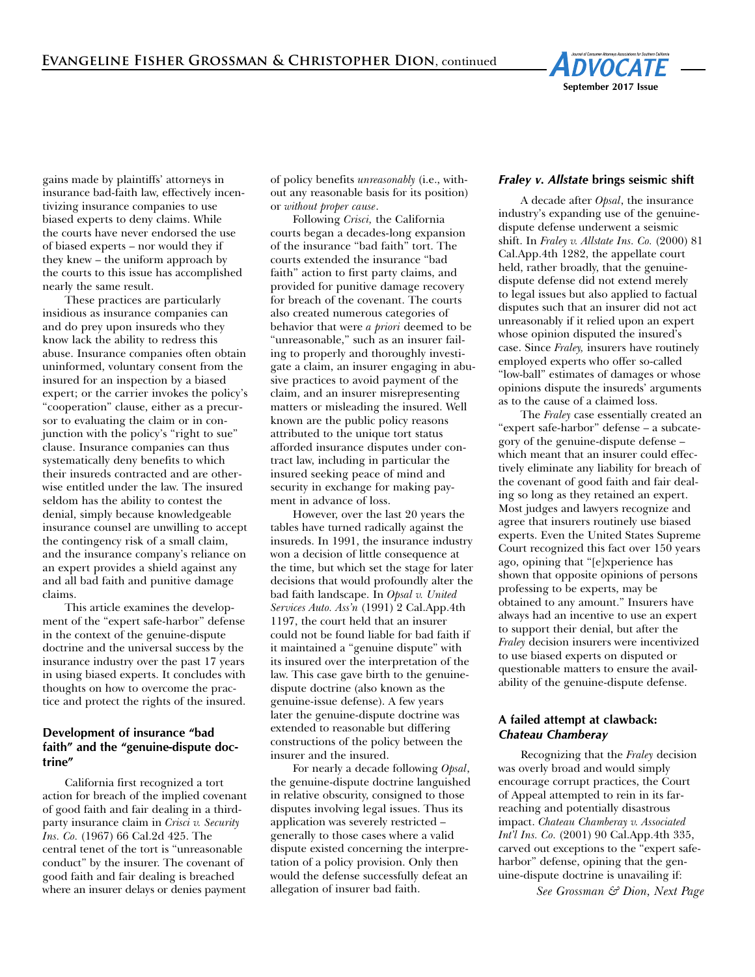

gains made by plaintiffs' attorneys in insurance bad-faith law, effectively incentivizing insurance companies to use biased experts to deny claims. While the courts have never endorsed the use of biased experts – nor would they if they knew – the uniform approach by the courts to this issue has accomplished nearly the same result.

These practices are particularly insidious as insurance companies can and do prey upon insureds who they know lack the ability to redress this abuse. Insurance companies often obtain uninformed, voluntary consent from the insured for an inspection by a biased expert; or the carrier invokes the policy's "cooperation" clause, either as a precursor to evaluating the claim or in conjunction with the policy's "right to sue" clause. Insurance companies can thus systematically deny benefits to which their insureds contracted and are otherwise entitled under the law. The insured seldom has the ability to contest the denial, simply because knowledgeable insurance counsel are unwilling to accept the contingency risk of a small claim, and the insurance company's reliance on an expert provides a shield against any and all bad faith and punitive damage claims.

This article examines the development of the "expert safe-harbor" defense in the context of the genuine-dispute doctrine and the universal success by the insurance industry over the past 17 years in using biased experts. It concludes with thoughts on how to overcome the practice and protect the rights of the insured.

## **Development of insurance "bad faith" and the "genuine-dispute doctrine"**

California first recognized a tort action for breach of the implied covenant of good faith and fair dealing in a thirdparty insurance claim in *Crisci v. Security Ins. Co.* (1967) 66 Cal.2d 425. The central tenet of the tort is "unreasonable conduct" by the insurer. The covenant of good faith and fair dealing is breached where an insurer delays or denies payment of policy benefits *unreasonably* (i.e., without any reasonable basis for its position) or *without proper cause*.

Following *Crisci,* the California courts began a decades-long expansion of the insurance "bad faith" tort. The courts extended the insurance "bad faith" action to first party claims, and provided for punitive damage recovery for breach of the covenant. The courts also created numerous categories of behavior that were *a priori* deemed to be "unreasonable," such as an insurer failing to properly and thoroughly investigate a claim, an insurer engaging in abusive practices to avoid payment of the claim, and an insurer misrepresenting matters or misleading the insured. Well known are the public policy reasons attributed to the unique tort status afforded insurance disputes under contract law, including in particular the insured seeking peace of mind and security in exchange for making payment in advance of loss.

However, over the last 20 years the tables have turned radically against the insureds. In 1991, the insurance industry won a decision of little consequence at the time, but which set the stage for later decisions that would profoundly alter the bad faith landscape. In *Opsal v. United Services Auto. Ass'n* (1991) 2 Cal.App.4th 1197, the court held that an insurer could not be found liable for bad faith if it maintained a "genuine dispute" with its insured over the interpretation of the law. This case gave birth to the genuinedispute doctrine (also known as the genuine-issue defense). A few years later the genuine-dispute doctrine was extended to reasonable but differing constructions of the policy between the insurer and the insured.

For nearly a decade following *Opsal*, the genuine-dispute doctrine languished in relative obscurity, consigned to those disputes involving legal issues. Thus its application was severely restricted – generally to those cases where a valid dispute existed concerning the interpretation of a policy provision. Only then would the defense successfully defeat an allegation of insurer bad faith.

#### *Fraley v. Allstate* **brings seismic shift**

A decade after *Opsal*, the insurance industry's expanding use of the genuinedispute defense underwent a seismic shift. In *Fraley v. Allstate Ins. Co.* (2000) 81 Cal.App.4th 1282, the appellate court held, rather broadly, that the genuinedispute defense did not extend merely to legal issues but also applied to factual disputes such that an insurer did not act unreasonably if it relied upon an expert whose opinion disputed the insured's case. Since *Fraley,* insurers have routinely employed experts who offer so-called "low-ball" estimates of damages or whose opinions dispute the insureds' arguments as to the cause of a claimed loss.

The *Fraley* case essentially created an "expert safe-harbor" defense – a subcategory of the genuine-dispute defense – which meant that an insurer could effectively eliminate any liability for breach of the covenant of good faith and fair dealing so long as they retained an expert. Most judges and lawyers recognize and agree that insurers routinely use biased experts. Even the United States Supreme Court recognized this fact over 150 years ago, opining that "[e]xperience has shown that opposite opinions of persons professing to be experts, may be obtained to any amount." Insurers have always had an incentive to use an expert to support their denial, but after the *Fraley* decision insurers were incentivized to use biased experts on disputed or questionable matters to ensure the availability of the genuine-dispute defense.

#### **A failed attempt at clawback:** *Chateau Chamberay*

Recognizing that the *Fraley* decision was overly broad and would simply encourage corrupt practices, the Court of Appeal attempted to rein in its farreaching and potentially disastrous impact. *Chateau Chamberay v. Associated Int'l Ins. Co.* (2001) 90 Cal.App.4th 335, carved out exceptions to the "expert safeharbor" defense, opining that the genuine-dispute doctrine is unavailing if: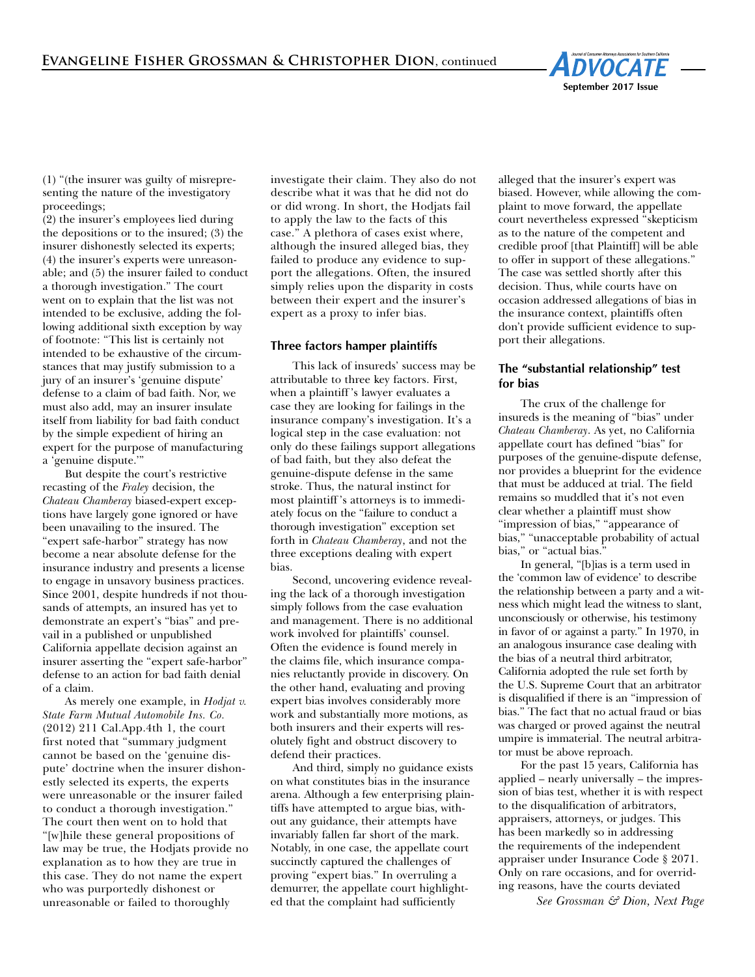

(1) "(the insurer was guilty of misrepresenting the nature of the investigatory proceedings;

(2) the insurer's employees lied during the depositions or to the insured; (3) the insurer dishonestly selected its experts; (4) the insurer's experts were unreasonable; and (5) the insurer failed to conduct a thorough investigation." The court went on to explain that the list was not intended to be exclusive, adding the following additional sixth exception by way of footnote: "This list is certainly not intended to be exhaustive of the circumstances that may justify submission to a jury of an insurer's 'genuine dispute' defense to a claim of bad faith. Nor, we must also add, may an insurer insulate itself from liability for bad faith conduct by the simple expedient of hiring an expert for the purpose of manufacturing a 'genuine dispute.'"

But despite the court's restrictive recasting of the *Fraley* decision, the *Chateau Chamberay* biased-expert exceptions have largely gone ignored or have been unavailing to the insured. The "expert safe-harbor" strategy has now become a near absolute defense for the insurance industry and presents a license to engage in unsavory business practices. Since 2001, despite hundreds if not thousands of attempts, an insured has yet to demonstrate an expert's "bias" and prevail in a published or unpublished California appellate decision against an insurer asserting the "expert safe-harbor" defense to an action for bad faith denial of a claim.

As merely one example, in *Hodjat v. State Farm Mutual Automobile Ins. Co.* (2012) 211 Cal.App.4th 1, the court first noted that "summary judgment cannot be based on the 'genuine dispute' doctrine when the insurer dishonestly selected its experts, the experts were unreasonable or the insurer failed to conduct a thorough investigation." The court then went on to hold that "[w]hile these general propositions of law may be true, the Hodjats provide no explanation as to how they are true in this case. They do not name the expert who was purportedly dishonest or unreasonable or failed to thoroughly

investigate their claim. They also do not describe what it was that he did not do or did wrong. In short, the Hodjats fail to apply the law to the facts of this case." A plethora of cases exist where, although the insured alleged bias, they failed to produce any evidence to support the allegations. Often, the insured simply relies upon the disparity in costs between their expert and the insurer's expert as a proxy to infer bias.

#### **Three factors hamper plaintiffs**

This lack of insureds' success may be attributable to three key factors. First, when a plaintiff 's lawyer evaluates a case they are looking for failings in the insurance company's investigation. It's a logical step in the case evaluation: not only do these failings support allegations of bad faith, but they also defeat the genuine-dispute defense in the same stroke. Thus, the natural instinct for most plaintiff 's attorneys is to immediately focus on the "failure to conduct a thorough investigation" exception set forth in *Chateau Chamberay*, and not the three exceptions dealing with expert bias.

Second, uncovering evidence revealing the lack of a thorough investigation simply follows from the case evaluation and management. There is no additional work involved for plaintiffs' counsel. Often the evidence is found merely in the claims file, which insurance companies reluctantly provide in discovery. On the other hand, evaluating and proving expert bias involves considerably more work and substantially more motions, as both insurers and their experts will resolutely fight and obstruct discovery to defend their practices.

And third, simply no guidance exists on what constitutes bias in the insurance arena. Although a few enterprising plaintiffs have attempted to argue bias, without any guidance, their attempts have invariably fallen far short of the mark. Notably, in one case, the appellate court succinctly captured the challenges of proving "expert bias." In overruling a demurrer, the appellate court highlighted that the complaint had sufficiently

alleged that the insurer's expert was biased. However, while allowing the complaint to move forward, the appellate court nevertheless expressed "skepticism as to the nature of the competent and credible proof [that Plaintiff] will be able to offer in support of these allegations." The case was settled shortly after this decision. Thus, while courts have on occasion addressed allegations of bias in the insurance context, plaintiffs often don't provide sufficient evidence to support their allegations.

#### **The "substantial relationship" test for bias**

The crux of the challenge for insureds is the meaning of "bias" under *Chateau Chamberay*. As yet, no California appellate court has defined "bias" for purposes of the genuine-dispute defense, nor provides a blueprint for the evidence that must be adduced at trial. The field remains so muddled that it's not even clear whether a plaintiff must show "impression of bias," "appearance of bias," "unacceptable probability of actual bias," or "actual bias."

In general, "[b]ias is a term used in the 'common law of evidence' to describe the relationship between a party and a witness which might lead the witness to slant, unconsciously or otherwise, his testimony in favor of or against a party." In 1970, in an analogous insurance case dealing with the bias of a neutral third arbitrator, California adopted the rule set forth by the U.S. Supreme Court that an arbitrator is disqualified if there is an "impression of bias." The fact that no actual fraud or bias was charged or proved against the neutral umpire is immaterial. The neutral arbitrator must be above reproach.

For the past 15 years, California has applied – nearly universally – the impression of bias test, whether it is with respect to the disqualification of arbitrators, appraisers, attorneys, or judges. This has been markedly so in addressing the requirements of the independent appraiser under Insurance Code § 2071. Only on rare occasions, and for overriding reasons, have the courts deviated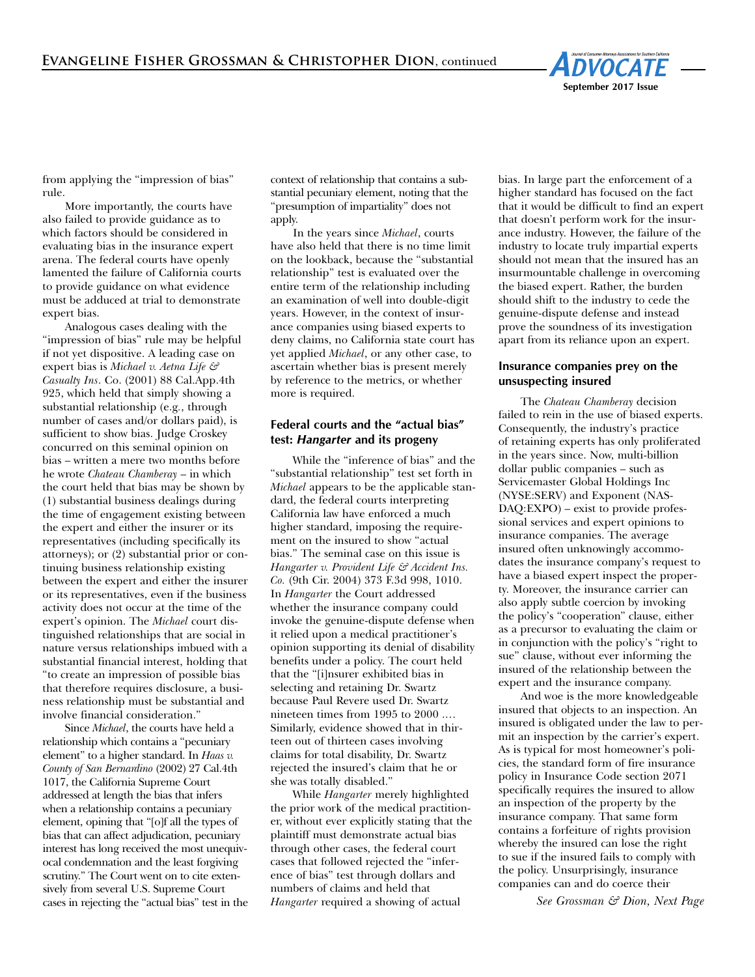

from applying the "impression of bias" rule.

More importantly, the courts have also failed to provide guidance as to which factors should be considered in evaluating bias in the insurance expert arena. The federal courts have openly lamented the failure of California courts to provide guidance on what evidence must be adduced at trial to demonstrate expert bias.

Analogous cases dealing with the "impression of bias" rule may be helpful if not yet dispositive. A leading case on expert bias is *Michael v. Aetna Life & Casualty Ins*. Co. (2001) 88 Cal.App.4th 925, which held that simply showing a substantial relationship (e.g*.*, through number of cases and/or dollars paid), is sufficient to show bias. Judge Croskey concurred on this seminal opinion on bias – written a mere two months before he wrote *Chateau Chamberay* – in which the court held that bias may be shown by (1) substantial business dealings during the time of engagement existing between the expert and either the insurer or its representatives (including specifically its attorneys); or (2) substantial prior or continuing business relationship existing between the expert and either the insurer or its representatives, even if the business activity does not occur at the time of the expert's opinion. The *Michael* court distinguished relationships that are social in nature versus relationships imbued with a substantial financial interest, holding that "to create an impression of possible bias that therefore requires disclosure, a business relationship must be substantial and involve financial consideration."

Since *Michael*, the courts have held a relationship which contains a "pecuniary element" to a higher standard. In *Haas v. County of San Bernardino* (2002) 27 Cal.4th 1017, the California Supreme Court addressed at length the bias that infers when a relationship contains a pecuniary element, opining that "[o]f all the types of bias that can affect adjudication, pecuniary interest has long received the most unequivocal condemnation and the least forgiving scrutiny." The Court went on to cite extensively from several U.S. Supreme Court cases in rejecting the "actual bias" test in the context of relationship that contains a substantial pecuniary element, noting that the "presumption of impartiality" does not apply.

In the years since *Michael*, courts have also held that there is no time limit on the lookback, because the "substantial relationship" test is evaluated over the entire term of the relationship including an examination of well into double-digit years. However, in the context of insurance companies using biased experts to deny claims, no California state court has yet applied *Michael*, or any other case, to ascertain whether bias is present merely by reference to the metrics, or whether more is required.

## **Federal courts and the "actual bias" test:** *Hangarter* **and its progeny**

While the "inference of bias" and the "substantial relationship" test set forth in *Michael* appears to be the applicable standard, the federal courts interpreting California law have enforced a much higher standard, imposing the requirement on the insured to show "actual bias." The seminal case on this issue is *Hangarter v. Provident Life & Accident Ins. Co.* (9th Cir. 2004) 373 F.3d 998, 1010. In *Hangarter* the Court addressed whether the insurance company could invoke the genuine-dispute defense when it relied upon a medical practitioner's opinion supporting its denial of disability benefits under a policy. The court held that the "[i]nsurer exhibited bias in selecting and retaining Dr. Swartz because Paul Revere used Dr. Swartz nineteen times from 1995 to 2000 .… Similarly, evidence showed that in thirteen out of thirteen cases involving claims for total disability, Dr. Swartz rejected the insured's claim that he or she was totally disabled."

While *Hangarter* merely highlighted the prior work of the medical practitioner, without ever explicitly stating that the plaintiff must demonstrate actual bias through other cases, the federal court cases that followed rejected the "inference of bias" test through dollars and numbers of claims and held that *Hangarter* required a showing of actual

bias. In large part the enforcement of a higher standard has focused on the fact that it would be difficult to find an expert that doesn't perform work for the insurance industry. However, the failure of the industry to locate truly impartial experts should not mean that the insured has an insurmountable challenge in overcoming the biased expert. Rather, the burden should shift to the industry to cede the genuine-dispute defense and instead prove the soundness of its investigation apart from its reliance upon an expert.

#### **Insurance companies prey on the unsuspecting insured**

The *Chateau Chamberay* decision failed to rein in the use of biased experts. Consequently, the industry's practice of retaining experts has only proliferated in the years since. Now, multi-billion dollar public companies – such as Servicemaster Global Holdings Inc (NYSE:SERV) and Exponent (NAS-DAQ:EXPO) – exist to provide professional services and expert opinions to insurance companies. The average insured often unknowingly accommodates the insurance company's request to have a biased expert inspect the property. Moreover, the insurance carrier can also apply subtle coercion by invoking the policy's "cooperation" clause, either as a precursor to evaluating the claim or in conjunction with the policy's "right to sue" clause, without ever informing the insured of the relationship between the expert and the insurance company.

And woe is the more knowledgeable insured that objects to an inspection. An insured is obligated under the law to permit an inspection by the carrier's expert. As is typical for most homeowner's policies, the standard form of fire insurance policy in Insurance Code section 2071 specifically requires the insured to allow an inspection of the property by the insurance company. That same form contains a forfeiture of rights provision whereby the insured can lose the right to sue if the insured fails to comply with the policy. Unsurprisingly, insurance companies can and do coerce their